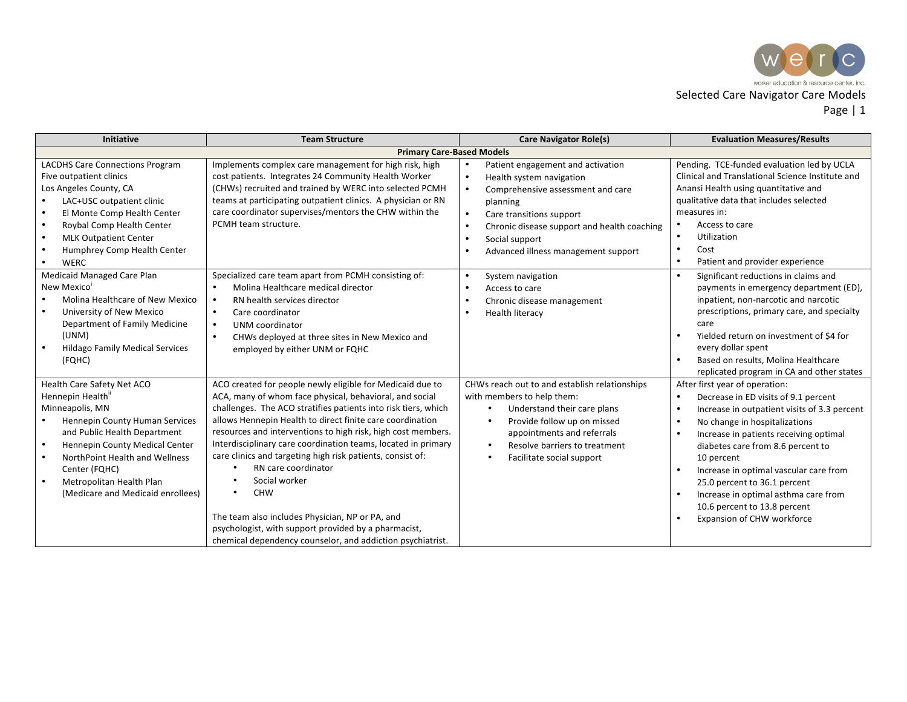

| <b>Initiative</b>                                                                                                                                                                                                                                                                                                                | <b>Team Structure</b>                                                                                                                                                                                                                                                                                                                                                                                                                                                                                                                                                                                                                                                             | <b>Care Navigator Role(s)</b>                                                                                                                                                                                                                                                                                                                 | <b>Evaluation Measures/Results</b>                                                                                                                                                                                                                                                                                                                                                                                                                                                                    |  |
|----------------------------------------------------------------------------------------------------------------------------------------------------------------------------------------------------------------------------------------------------------------------------------------------------------------------------------|-----------------------------------------------------------------------------------------------------------------------------------------------------------------------------------------------------------------------------------------------------------------------------------------------------------------------------------------------------------------------------------------------------------------------------------------------------------------------------------------------------------------------------------------------------------------------------------------------------------------------------------------------------------------------------------|-----------------------------------------------------------------------------------------------------------------------------------------------------------------------------------------------------------------------------------------------------------------------------------------------------------------------------------------------|-------------------------------------------------------------------------------------------------------------------------------------------------------------------------------------------------------------------------------------------------------------------------------------------------------------------------------------------------------------------------------------------------------------------------------------------------------------------------------------------------------|--|
| <b>Primary Care-Based Models</b>                                                                                                                                                                                                                                                                                                 |                                                                                                                                                                                                                                                                                                                                                                                                                                                                                                                                                                                                                                                                                   |                                                                                                                                                                                                                                                                                                                                               |                                                                                                                                                                                                                                                                                                                                                                                                                                                                                                       |  |
| <b>LACDHS Care Connections Program</b><br>Five outpatient clinics<br>Los Angeles County, CA<br>LAC+USC outpatient clinic<br>El Monte Comp Health Center<br>Roybal Comp Health Center<br>$\bullet$<br><b>MLK Outpatient Center</b><br>$\bullet$<br>Humphrey Comp Health Center<br>$\bullet$<br><b>WERC</b><br>$\bullet$           | Implements complex care management for high risk, high<br>cost patients. Integrates 24 Community Health Worker<br>(CHWs) recruited and trained by WERC into selected PCMH<br>teams at participating outpatient clinics. A physician or RN<br>care coordinator supervises/mentors the CHW within the<br>PCMH team structure.                                                                                                                                                                                                                                                                                                                                                       | Patient engagement and activation<br>$\bullet$<br>$\bullet$<br>Health system navigation<br>$\bullet$<br>Comprehensive assessment and care<br>planning<br>$\bullet$<br>Care transitions support<br>$\bullet$<br>Chronic disease support and health coaching<br>Social support<br>$\bullet$<br>Advanced illness management support<br>$\bullet$ | Pending. TCE-funded evaluation led by UCLA<br>Clinical and Translational Science Institute and<br>Anansi Health using quantitative and<br>qualitative data that includes selected<br>measures in:<br>Access to care<br>Utilization<br>$\bullet$<br>$\bullet$<br>Cost<br>$\bullet$<br>Patient and provider experience                                                                                                                                                                                  |  |
| Medicaid Managed Care Plan<br>New Mexico'<br>Molina Healthcare of New Mexico<br>University of New Mexico<br>$\bullet$<br>Department of Family Medicine<br>(UNM)<br><b>Hildago Family Medical Services</b><br>$\bullet$<br>(FQHC)                                                                                                 | Specialized care team apart from PCMH consisting of:<br>Molina Healthcare medical director<br>RN health services director<br>Care coordinator<br>$\bullet$<br>UNM coordinator<br>CHWs deployed at three sites in New Mexico and<br>employed by either UNM or FQHC                                                                                                                                                                                                                                                                                                                                                                                                                 | $\bullet$<br>System navigation<br>Access to care<br>$\bullet$<br>Chronic disease management<br>$\bullet$<br>Health literacy<br>$\bullet$                                                                                                                                                                                                      | $\bullet$<br>Significant reductions in claims and<br>payments in emergency department (ED),<br>inpatient, non-narcotic and narcotic<br>prescriptions, primary care, and specialty<br>care<br>Yielded return on investment of \$4 for<br>every dollar spent<br>Based on results, Molina Healthcare<br>replicated program in CA and other states                                                                                                                                                        |  |
| Health Care Safety Net ACO<br>Hennepin Health"<br>Minneapolis, MN<br>Hennepin County Human Services<br>and Public Health Department<br>Hennepin County Medical Center<br>$\bullet$<br>NorthPoint Health and Wellness<br>$\bullet$<br>Center (FQHC)<br>Metropolitan Health Plan<br>$\bullet$<br>(Medicare and Medicaid enrollees) | ACO created for people newly eligible for Medicaid due to<br>ACA, many of whom face physical, behavioral, and social<br>challenges. The ACO stratifies patients into risk tiers, which<br>allows Hennepin Health to direct finite care coordination<br>resources and interventions to high risk, high cost members.<br>Interdisciplinary care coordination teams, located in primary<br>care clinics and targeting high risk patients, consist of:<br>RN care coordinator<br>Social worker<br><b>CHW</b><br>The team also includes Physician, NP or PA, and<br>psychologist, with support provided by a pharmacist,<br>chemical dependency counselor, and addiction psychiatrist. | CHWs reach out to and establish relationships<br>with members to help them:<br>Understand their care plans<br>$\bullet$<br>Provide follow up on missed<br>$\bullet$<br>appointments and referrals<br>Resolve barriers to treatment<br>$\bullet$<br>Facilitate social support<br>$\bullet$                                                     | After first year of operation:<br>Decrease in ED visits of 9.1 percent<br>$\bullet$<br>Increase in outpatient visits of 3.3 percent<br>$\bullet$<br>No change in hospitalizations<br>$\bullet$<br>Increase in patients receiving optimal<br>$\bullet$<br>diabetes care from 8.6 percent to<br>10 percent<br>Increase in optimal vascular care from<br>$\bullet$<br>25.0 percent to 36.1 percent<br>Increase in optimal asthma care from<br>10.6 percent to 13.8 percent<br>Expansion of CHW workforce |  |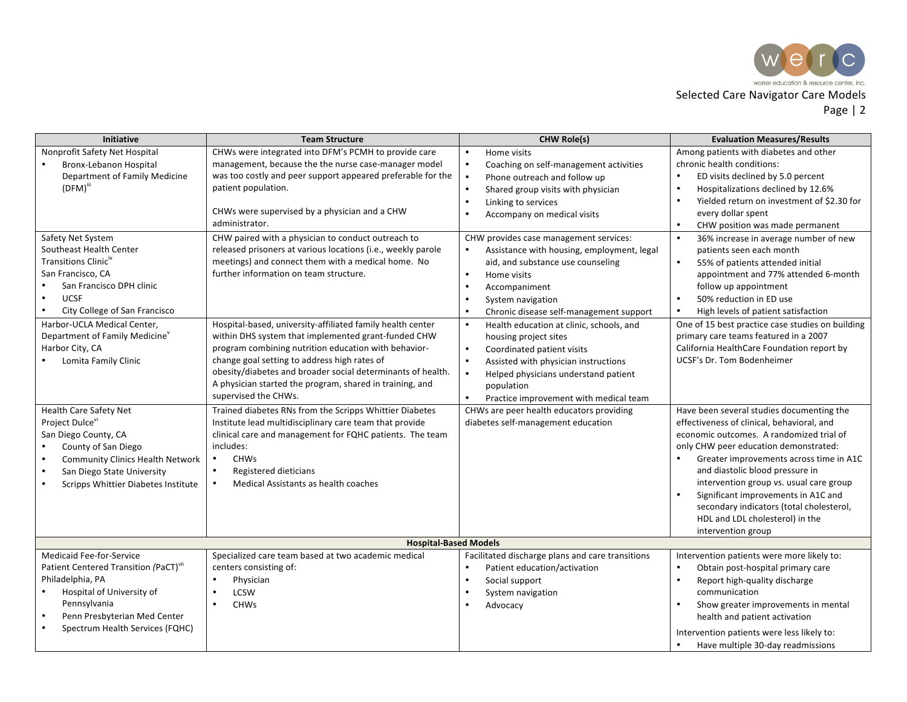

| <b>Initiative</b>                                                                                                                                                                                                                                                                                                     | <b>Team Structure</b>                                                                                                                                                                                                                                                                                                                                                                                                                           | <b>CHW Role(s)</b>                                                                                                                                                                                                                                                                                                                                                                                                                                              | <b>Evaluation Measures/Results</b>                                                                                                                                                                                                                                                                                                                                                                                                                                    |  |  |
|-----------------------------------------------------------------------------------------------------------------------------------------------------------------------------------------------------------------------------------------------------------------------------------------------------------------------|-------------------------------------------------------------------------------------------------------------------------------------------------------------------------------------------------------------------------------------------------------------------------------------------------------------------------------------------------------------------------------------------------------------------------------------------------|-----------------------------------------------------------------------------------------------------------------------------------------------------------------------------------------------------------------------------------------------------------------------------------------------------------------------------------------------------------------------------------------------------------------------------------------------------------------|-----------------------------------------------------------------------------------------------------------------------------------------------------------------------------------------------------------------------------------------------------------------------------------------------------------------------------------------------------------------------------------------------------------------------------------------------------------------------|--|--|
| Nonprofit Safety Net Hospital<br><b>Bronx-Lebanon Hospital</b><br>Department of Family Medicine<br>$(DFM)$ "                                                                                                                                                                                                          | CHWs were integrated into DFM's PCMH to provide care<br>management, because the the nurse case-manager model<br>was too costly and peer support appeared preferable for the<br>patient population.<br>CHWs were supervised by a physician and a CHW<br>administrator.                                                                                                                                                                           | Home visits<br>$\bullet$<br>Coaching on self-management activities<br>$\bullet$<br>Phone outreach and follow up<br>$\bullet$<br>Shared group visits with physician<br>$\bullet$<br>Linking to services<br>$\bullet$<br>Accompany on medical visits<br>$\bullet$                                                                                                                                                                                                 | Among patients with diabetes and other<br>chronic health conditions:<br>$\bullet$<br>ED visits declined by 5.0 percent<br>Hospitalizations declined by 12.6%<br>$\bullet$<br>Yielded return on investment of \$2.30 for<br>$\bullet$<br>every dollar spent<br>CHW position was made permanent<br>$\bullet$                                                                                                                                                            |  |  |
| Safety Net System<br>Southeast Health Center<br>Transitions Clinic <sup>"</sup><br>San Francisco, CA<br>San Francisco DPH clinic<br><b>UCSF</b><br>$\bullet$<br>City College of San Francisco<br>Harbor-UCLA Medical Center,<br>Department of Family Medicine <sup>v</sup><br>Harbor City, CA<br>Lomita Family Clinic | CHW paired with a physician to conduct outreach to<br>released prisoners at various locations (i.e., weekly parole<br>meetings) and connect them with a medical home. No<br>further information on team structure.<br>Hospital-based, university-affiliated family health center<br>within DHS system that implemented grant-funded CHW<br>program combining nutrition education with behavior-<br>change goal setting to address high rates of | CHW provides case management services:<br>Assistance with housing, employment, legal<br>aid, and substance use counseling<br>$\bullet$<br>Home visits<br>$\bullet$<br>Accompaniment<br>System navigation<br>$\bullet$<br>Chronic disease self-management support<br>$\bullet$<br>Health education at clinic, schools, and<br>$\bullet$<br>housing project sites<br>$\bullet$<br>Coordinated patient visits<br>Assisted with physician instructions<br>$\bullet$ | $\bullet$<br>36% increase in average number of new<br>patients seen each month<br>$\bullet$<br>55% of patients attended initial<br>appointment and 77% attended 6-month<br>follow up appointment<br>50% reduction in ED use<br>$\bullet$<br>High levels of patient satisfaction<br>$\bullet$<br>One of 15 best practice case studies on building<br>primary care teams featured in a 2007<br>California HealthCare Foundation report by<br>UCSF's Dr. Tom Bodenheimer |  |  |
| Health Care Safety Net                                                                                                                                                                                                                                                                                                | obesity/diabetes and broader social determinants of health.<br>A physician started the program, shared in training, and<br>supervised the CHWs.<br>Trained diabetes RNs from the Scripps Whittier Diabetes                                                                                                                                                                                                                                      | Helped physicians understand patient<br>$\bullet$<br>population<br>Practice improvement with medical team<br>$\bullet$<br>CHWs are peer health educators providing                                                                                                                                                                                                                                                                                              | Have been several studies documenting the                                                                                                                                                                                                                                                                                                                                                                                                                             |  |  |
| Project Dulcevi<br>San Diego County, CA<br>$\bullet$<br>County of San Diego<br><b>Community Clinics Health Network</b><br>$\bullet$<br>San Diego State University<br>$\bullet$<br>Scripps Whittier Diabetes Institute<br>$\bullet$                                                                                    | Institute lead multidisciplinary care team that provide<br>clinical care and management for FQHC patients. The team<br>includes:<br><b>CHWs</b><br>$\bullet$<br>Registered dieticians<br>$\bullet$<br>Medical Assistants as health coaches<br>$\bullet$                                                                                                                                                                                         | diabetes self-management education                                                                                                                                                                                                                                                                                                                                                                                                                              | effectiveness of clinical, behavioral, and<br>economic outcomes. A randomized trial of<br>only CHW peer education demonstrated:<br>Greater improvements across time in A1C<br>and diastolic blood pressure in<br>intervention group vs. usual care group<br>$\bullet$<br>Significant improvements in A1C and<br>secondary indicators (total cholesterol,<br>HDL and LDL cholesterol) in the<br>intervention group                                                     |  |  |
| <b>Hospital-Based Models</b>                                                                                                                                                                                                                                                                                          |                                                                                                                                                                                                                                                                                                                                                                                                                                                 |                                                                                                                                                                                                                                                                                                                                                                                                                                                                 |                                                                                                                                                                                                                                                                                                                                                                                                                                                                       |  |  |
| <b>Medicaid Fee-for-Service</b><br>Patient Centered Transition (PaCT)"<br>Philadelphia, PA<br>$\bullet$<br>Hospital of University of<br>Pennsylvania<br>Penn Presbyterian Med Center<br>$\bullet$<br>$\bullet$<br>Spectrum Health Services (FQHC)                                                                     | Specialized care team based at two academic medical<br>centers consisting of:<br>Physician<br><b>LCSW</b><br>$\bullet$<br><b>CHWs</b>                                                                                                                                                                                                                                                                                                           | Facilitated discharge plans and care transitions<br>Patient education/activation<br>$\bullet$<br>$\bullet$<br>Social support<br>$\bullet$<br>System navigation<br>Advocacy<br>$\bullet$                                                                                                                                                                                                                                                                         | Intervention patients were more likely to:<br>Obtain post-hospital primary care<br>$\bullet$<br>$\bullet$<br>Report high-quality discharge<br>communication<br>Show greater improvements in mental<br>health and patient activation<br>Intervention patients were less likely to:<br>Have multiple 30-day readmissions<br>$\bullet$                                                                                                                                   |  |  |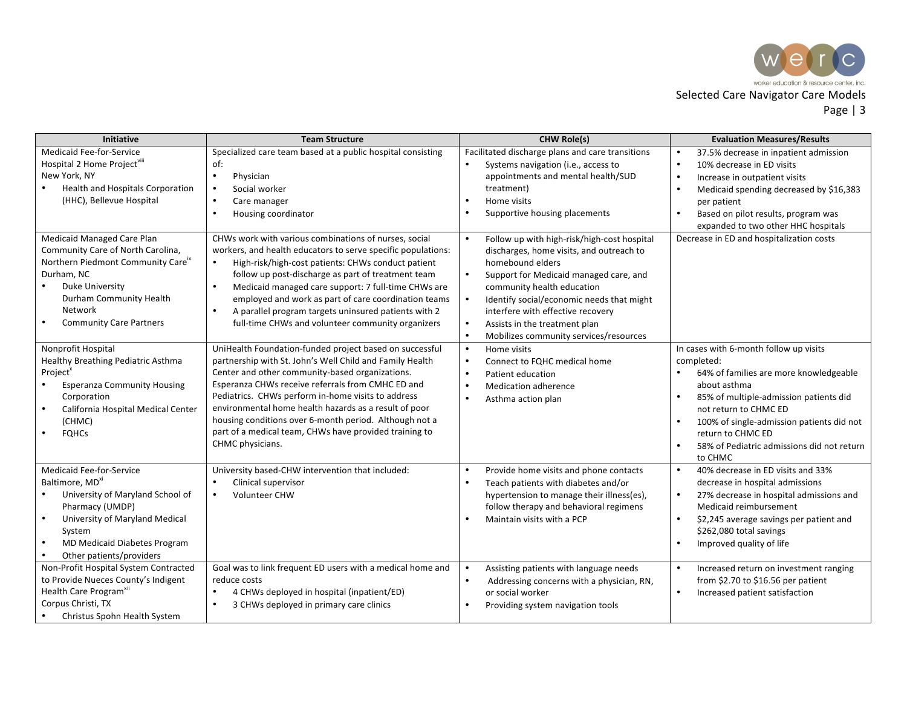

| <b>Initiative</b>                                                                                                                                                                                                                                                                                    | <b>Team Structure</b>                                                                                                                                                                                                                                                                                                                                                                                                                                                              | <b>CHW Role(s)</b>                                                                                                                                                                                                                                                                                                                                                                                                                                  | <b>Evaluation Measures/Results</b>                                                                                                                                                                                                                                                                                                                       |
|------------------------------------------------------------------------------------------------------------------------------------------------------------------------------------------------------------------------------------------------------------------------------------------------------|------------------------------------------------------------------------------------------------------------------------------------------------------------------------------------------------------------------------------------------------------------------------------------------------------------------------------------------------------------------------------------------------------------------------------------------------------------------------------------|-----------------------------------------------------------------------------------------------------------------------------------------------------------------------------------------------------------------------------------------------------------------------------------------------------------------------------------------------------------------------------------------------------------------------------------------------------|----------------------------------------------------------------------------------------------------------------------------------------------------------------------------------------------------------------------------------------------------------------------------------------------------------------------------------------------------------|
| Medicaid Fee-for-Service<br>Hospital 2 Home Project <sup>viii</sup><br>New York, NY<br><b>Health and Hospitals Corporation</b><br>(HHC), Bellevue Hospital<br>Medicaid Managed Care Plan<br>Community Care of North Carolina,<br>Northern Piedmont Community Careix<br>Durham, NC<br>Duke University | Specialized care team based at a public hospital consisting<br>of:<br>Physician<br>$\bullet$<br>Social worker<br>Care manager<br>Housing coordinator<br>CHWs work with various combinations of nurses, social<br>workers, and health educators to serve specific populations:<br>High-risk/high-cost patients: CHWs conduct patient<br>follow up post-discharge as part of treatment team<br>$\bullet$<br>Medicaid managed care support: 7 full-time CHWs are                      | Facilitated discharge plans and care transitions<br>Systems navigation (i.e., access to<br>$\bullet$<br>appointments and mental health/SUD<br>treatment)<br>Home visits<br>$\bullet$<br>Supportive housing placements<br>$\bullet$<br>Follow up with high-risk/high-cost hospital<br>$\bullet$<br>discharges, home visits, and outreach to<br>homebound elders<br>$\bullet$<br>Support for Medicaid managed care, and<br>community health education | 37.5% decrease in inpatient admission<br>$\bullet$<br>10% decrease in ED visits<br>$\bullet$<br>$\bullet$<br>Increase in outpatient visits<br>$\bullet$<br>Medicaid spending decreased by \$16,383<br>per patient<br>$\bullet$<br>Based on pilot results, program was<br>expanded to two other HHC hospitals<br>Decrease in ED and hospitalization costs |
| Durham Community Health<br><b>Network</b><br><b>Community Care Partners</b>                                                                                                                                                                                                                          | employed and work as part of care coordination teams<br>A parallel program targets uninsured patients with 2<br>$\bullet$<br>full-time CHWs and volunteer community organizers                                                                                                                                                                                                                                                                                                     | $\bullet$<br>Identify social/economic needs that might<br>interfere with effective recovery<br>Assists in the treatment plan<br>$\bullet$<br>$\bullet$<br>Mobilizes community services/resources                                                                                                                                                                                                                                                    |                                                                                                                                                                                                                                                                                                                                                          |
| Nonprofit Hospital<br>Healthy Breathing Pediatric Asthma<br>Project <sup>x</sup><br><b>Esperanza Community Housing</b><br>Corporation<br>California Hospital Medical Center<br>$\bullet$<br>(CHMC)<br><b>FQHCs</b>                                                                                   | UniHealth Foundation-funded project based on successful<br>partnership with St. John's Well Child and Family Health<br>Center and other community-based organizations.<br>Esperanza CHWs receive referrals from CMHC ED and<br>Pediatrics. CHWs perform in-home visits to address<br>environmental home health hazards as a result of poor<br>housing conditions over 6-month period. Although not a<br>part of a medical team, CHWs have provided training to<br>CHMC physicians. | $\bullet$<br>Home visits<br>$\bullet$<br>Connect to FQHC medical home<br>$\bullet$<br>Patient education<br>$\bullet$<br>Medication adherence<br>$\bullet$<br>Asthma action plan                                                                                                                                                                                                                                                                     | In cases with 6-month follow up visits<br>completed:<br>64% of families are more knowledgeable<br>about asthma<br>85% of multiple-admission patients did<br>$\bullet$<br>not return to CHMC ED<br>100% of single-admission patients did not<br>$\bullet$<br>return to CHMC ED<br>$\bullet$<br>58% of Pediatric admissions did not return<br>to CHMC      |
| <b>Medicaid Fee-for-Service</b><br>Baltimore, MD <sup>xi</sup><br>University of Maryland School of<br>$\bullet$<br>Pharmacy (UMDP)<br>University of Maryland Medical<br>$\bullet$<br>System<br>MD Medicaid Diabetes Program<br>Other patients/providers<br>$\bullet$                                 | University based-CHW intervention that included:<br>Clinical supervisor<br><b>Volunteer CHW</b>                                                                                                                                                                                                                                                                                                                                                                                    | Provide home visits and phone contacts<br>$\bullet$<br>$\bullet$<br>Teach patients with diabetes and/or<br>hypertension to manage their illness(es),<br>follow therapy and behavioral regimens<br>Maintain visits with a PCP<br>$\bullet$                                                                                                                                                                                                           | 40% decrease in ED visits and 33%<br>$\bullet$<br>decrease in hospital admissions<br>$\bullet$<br>27% decrease in hospital admissions and<br>Medicaid reimbursement<br>$\bullet$<br>\$2,245 average savings per patient and<br>\$262,080 total savings<br>Improved quality of life<br>$\bullet$                                                          |
| Non-Profit Hospital System Contracted<br>to Provide Nueces County's Indigent<br>Health Care Program <sup>x"</sup><br>Corpus Christi, TX<br>Christus Spohn Health System                                                                                                                              | Goal was to link frequent ED users with a medical home and<br>reduce costs<br>4 CHWs deployed in hospital (inpatient/ED)<br>3 CHWs deployed in primary care clinics                                                                                                                                                                                                                                                                                                                | Assisting patients with language needs<br>$\bullet$<br>Addressing concerns with a physician, RN,<br>$\bullet$<br>or social worker<br>Providing system navigation tools                                                                                                                                                                                                                                                                              | $\bullet$<br>Increased return on investment ranging<br>from $$2.70$ to $$16.56$ per patient<br>Increased patient satisfaction<br>$\bullet$                                                                                                                                                                                                               |